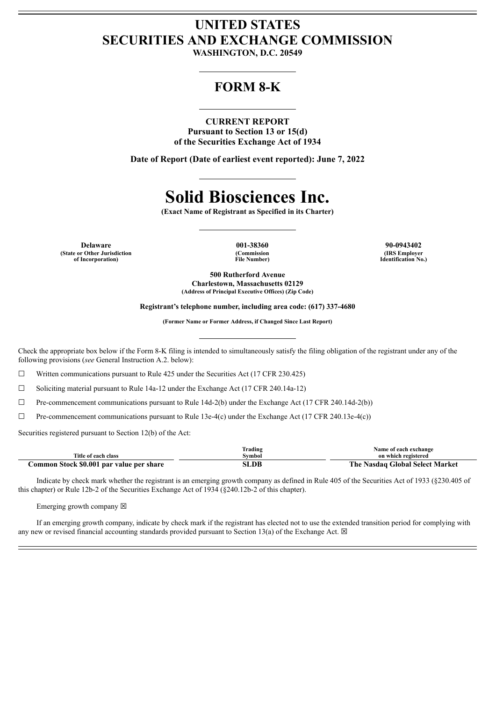## **UNITED STATES SECURITIES AND EXCHANGE COMMISSION**

**WASHINGTON, D.C. 20549**

### **FORM 8-K**

#### **CURRENT REPORT**

**Pursuant to Section 13 or 15(d) of the Securities Exchange Act of 1934**

**Date of Report (Date of earliest event reported): June 7, 2022**

# **Solid Biosciences Inc.**

**(Exact Name of Registrant as Specified in its Charter)**

**Delaware 001-38360 90-0943402 (State or Other Jurisdiction of Incorporation)**

**(Commission File Number)**

**(IRS Employer Identification No.)**

**500 Rutherford Avenue Charlestown, Massachusetts 02129 (Address of Principal Executive Offices) (Zip Code)**

**Registrant's telephone number, including area code: (617) 337-4680**

**(Former Name or Former Address, if Changed Since Last Report)**

Check the appropriate box below if the Form 8-K filing is intended to simultaneously satisfy the filing obligation of the registrant under any of the following provisions (*see* General Instruction A.2. below):

 $\Box$  Written communications pursuant to Rule 425 under the Securities Act (17 CFR 230.425)

☐ Soliciting material pursuant to Rule 14a-12 under the Exchange Act (17 CFR 240.14a-12)

☐ Pre-commencement communications pursuant to Rule 14d-2(b) under the Exchange Act (17 CFR 240.14d-2(b))

 $\Box$  Pre-commencement communications pursuant to Rule 13e-4(c) under the Exchange Act (17 CFR 240.13e-4(c))

Securities registered pursuant to Section 12(b) of the Act:

|                                          | frading | Name of each exchange           |
|------------------------------------------|---------|---------------------------------|
| Title of each class                      | Symbol  | on which registered             |
| Common Stock \$0.001 par value per share | SLDB    | The Nasdag Global Select Market |

Indicate by check mark whether the registrant is an emerging growth company as defined in Rule 405 of the Securities Act of 1933 (§230.405 of this chapter) or Rule 12b-2 of the Securities Exchange Act of 1934 (§240.12b-2 of this chapter).

Emerging growth company  $\boxtimes$ 

If an emerging growth company, indicate by check mark if the registrant has elected not to use the extended transition period for complying with any new or revised financial accounting standards provided pursuant to Section 13(a) of the Exchange Act.  $\boxtimes$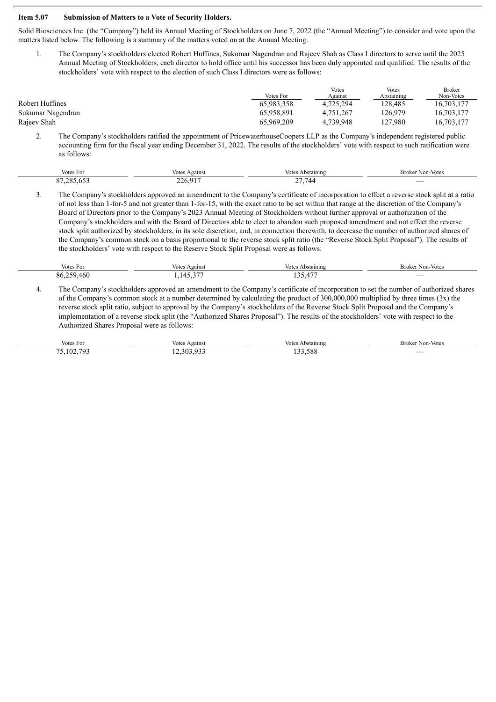#### **Item 5.07 Submission of Matters to a Vote of Security Holders.**

Solid Biosciences Inc. (the "Company") held its Annual Meeting of Stockholders on June 7, 2022 (the "Annual Meeting") to consider and vote upon the matters listed below. The following is a summary of the matters voted on at the Annual Meeting.

1. The Company's stockholders elected Robert Huffines, Sukumar Nagendran and Rajeev Shah as Class I directors to serve until the 2025 Annual Meeting of Stockholders, each director to hold office until his successor has been duly appointed and qualified. The results of the stockholders' vote with respect to the election of such Class I directors were as follows:

|                   | Votes For  | <b>Votes</b><br>Against | <b>Votes</b><br>Abstaining | <b>Broker</b><br>Non-Votes |
|-------------------|------------|-------------------------|----------------------------|----------------------------|
| Robert Huffines   | 65,983,358 | 4.725.294               | 128.485                    | 16,703,177                 |
| Sukumar Nagendran | 65.958.891 | 4.751.267               | 126.979                    | 16.703.177                 |
| Rajeev Shah       | 65,969,209 | 4.739.948               | 127.980                    | 16,703,177                 |

2. The Company's stockholders ratified the appointment of PricewaterhouseCoopers LLP as the Company's independent registered public accounting firm for the fiscal year ending December 31, 2022. The results of the stockholders' vote with respect to such ratification were as follows:

| $ -$<br>Votes For        | otes<br>Against                          | $V_{\alpha}$ ta<br>⊾bstaining | Broker Non-Votes |
|--------------------------|------------------------------------------|-------------------------------|------------------|
| 285<br>∩ −<br>در∪.رە∠. ا | 22 <sub>b</sub><br><br>$- - 0, 7$<br>. . | $\sqrt{2}$<br>-               | _                |

3. The Company's stockholders approved an amendment to the Company's certificate of incorporation to effect a reverse stock split at a ratio of not less than 1-for-5 and not greater than 1-for-15, with the exact ratio to be set within that range at the discretion of the Company's Board of Directors prior to the Company's 2023 Annual Meeting of Stockholders without further approval or authorization of the Company's stockholders and with the Board of Directors able to elect to abandon such proposed amendment and not effect the reverse stock split authorized by stockholders, in its sole discretion, and, in connection therewith, to decrease the number of authorized shares of the Company's common stock on a basis proportional to the reverse stock split ratio (the "Reverse Stock Split Proposal"). The results of the stockholders' vote with respect to the Reserve Stock Split Proposal were as follows:

| Votes             | gainst                           | Votes          | <b>Broker Non-Votes</b> |
|-------------------|----------------------------------|----------------|-------------------------|
| s For             | ⁄otes                            | Abstaining     |                         |
| 250<br>86.<br>46( | $\sim$ $ -$<br>$\mathbf{1}$<br>. | $\sim$<br>---- | _                       |

4. The Company's stockholders approved an amendment to the Company's certificate of incorporation to set the number of authorized shares of the Company's common stock at a number determined by calculating the product of 300,000,000 multiplied by three times (3x) the reverse stock split ratio, subject to approval by the Company's stockholders of the Reverse Stock Split Proposal and the Company's implementation of a reverse stock split (the "Authorized Shares Proposal"). The results of the stockholders' vote with respect to the Authorized Shares Proposal were as follows:

| $  -$     | Votes                                                                 | Votes.                   | Broker Non-Votes |
|-----------|-----------------------------------------------------------------------|--------------------------|------------------|
| Votes For | Against                                                               | Abstaining               |                  |
| ,102,793  | 12.202.025<br>12.303.933<br>$\rightarrow$ $\rightarrow$ $\rightarrow$ | 133,588<br>- - -<br>$ -$ |                  |